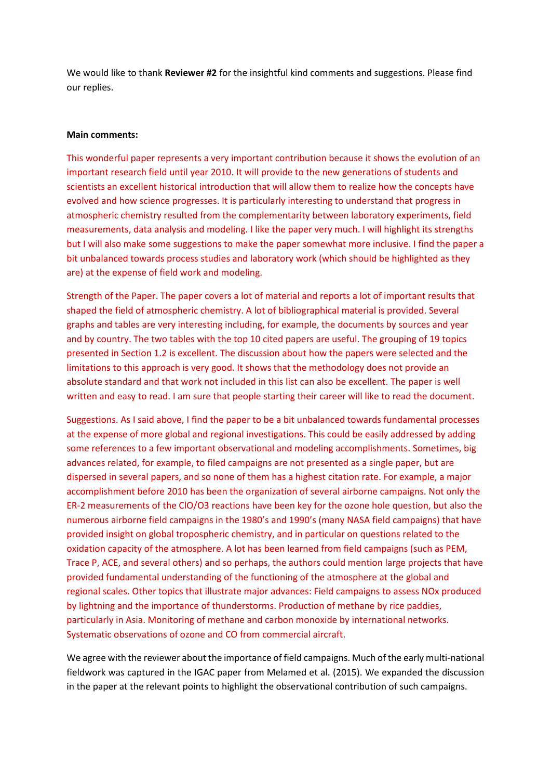We would like to thank **Reviewer #2** for the insightful kind comments and suggestions. Please find our replies.

## **Main comments:**

This wonderful paper represents a very important contribution because it shows the evolution of an important research field until year 2010. It will provide to the new generations of students and scientists an excellent historical introduction that will allow them to realize how the concepts have evolved and how science progresses. It is particularly interesting to understand that progress in atmospheric chemistry resulted from the complementarity between laboratory experiments, field measurements, data analysis and modeling. I like the paper very much. I will highlight its strengths but I will also make some suggestions to make the paper somewhat more inclusive. I find the paper a bit unbalanced towards process studies and laboratory work (which should be highlighted as they are) at the expense of field work and modeling.

Strength of the Paper. The paper covers a lot of material and reports a lot of important results that shaped the field of atmospheric chemistry. A lot of bibliographical material is provided. Several graphs and tables are very interesting including, for example, the documents by sources and year and by country. The two tables with the top 10 cited papers are useful. The grouping of 19 topics presented in Section 1.2 is excellent. The discussion about how the papers were selected and the limitations to this approach is very good. It shows that the methodology does not provide an absolute standard and that work not included in this list can also be excellent. The paper is well written and easy to read. I am sure that people starting their career will like to read the document.

Suggestions. As I said above, I find the paper to be a bit unbalanced towards fundamental processes at the expense of more global and regional investigations. This could be easily addressed by adding some references to a few important observational and modeling accomplishments. Sometimes, big advances related, for example, to filed campaigns are not presented as a single paper, but are dispersed in several papers, and so none of them has a highest citation rate. For example, a major accomplishment before 2010 has been the organization of several airborne campaigns. Not only the ER-2 measurements of the ClO/O3 reactions have been key for the ozone hole question, but also the numerous airborne field campaigns in the 1980's and 1990's (many NASA field campaigns) that have provided insight on global tropospheric chemistry, and in particular on questions related to the oxidation capacity of the atmosphere. A lot has been learned from field campaigns (such as PEM, Trace P, ACE, and several others) and so perhaps, the authors could mention large projects that have provided fundamental understanding of the functioning of the atmosphere at the global and regional scales. Other topics that illustrate major advances: Field campaigns to assess NOx produced by lightning and the importance of thunderstorms. Production of methane by rice paddies, particularly in Asia. Monitoring of methane and carbon monoxide by international networks. Systematic observations of ozone and CO from commercial aircraft.

We agree with the reviewer about the importance of field campaigns. Much of the early multi-national fieldwork was captured in the IGAC paper from Melamed et al. (2015). We expanded the discussion in the paper at the relevant points to highlight the observational contribution of such campaigns.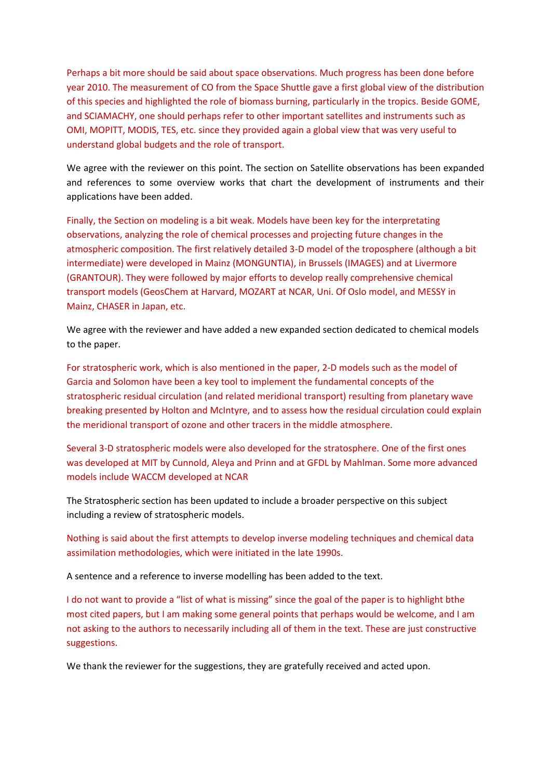Perhaps a bit more should be said about space observations. Much progress has been done before year 2010. The measurement of CO from the Space Shuttle gave a first global view of the distribution of this species and highlighted the role of biomass burning, particularly in the tropics. Beside GOME, and SCIAMACHY, one should perhaps refer to other important satellites and instruments such as OMI, MOPITT, MODIS, TES, etc. since they provided again a global view that was very useful to understand global budgets and the role of transport.

We agree with the reviewer on this point. The section on Satellite observations has been expanded and references to some overview works that chart the development of instruments and their applications have been added.

Finally, the Section on modeling is a bit weak. Models have been key for the interpretating observations, analyzing the role of chemical processes and projecting future changes in the atmospheric composition. The first relatively detailed 3-D model of the troposphere (although a bit intermediate) were developed in Mainz (MONGUNTIA), in Brussels (IMAGES) and at Livermore (GRANTOUR). They were followed by major efforts to develop really comprehensive chemical transport models (GeosChem at Harvard, MOZART at NCAR, Uni. Of Oslo model, and MESSY in Mainz, CHASER in Japan, etc.

We agree with the reviewer and have added a new expanded section dedicated to chemical models to the paper.

For stratospheric work, which is also mentioned in the paper, 2-D models such as the model of Garcia and Solomon have been a key tool to implement the fundamental concepts of the stratospheric residual circulation (and related meridional transport) resulting from planetary wave breaking presented by Holton and McIntyre, and to assess how the residual circulation could explain the meridional transport of ozone and other tracers in the middle atmosphere.

Several 3-D stratospheric models were also developed for the stratosphere. One of the first ones was developed at MIT by Cunnold, Aleya and Prinn and at GFDL by Mahlman. Some more advanced models include WACCM developed at NCAR

The Stratospheric section has been updated to include a broader perspective on this subject including a review of stratospheric models.

Nothing is said about the first attempts to develop inverse modeling techniques and chemical data assimilation methodologies, which were initiated in the late 1990s.

A sentence and a reference to inverse modelling has been added to the text.

I do not want to provide a "list of what is missing" since the goal of the paper is to highlight bthe most cited papers, but I am making some general points that perhaps would be welcome, and I am not asking to the authors to necessarily including all of them in the text. These are just constructive suggestions.

We thank the reviewer for the suggestions, they are gratefully received and acted upon.